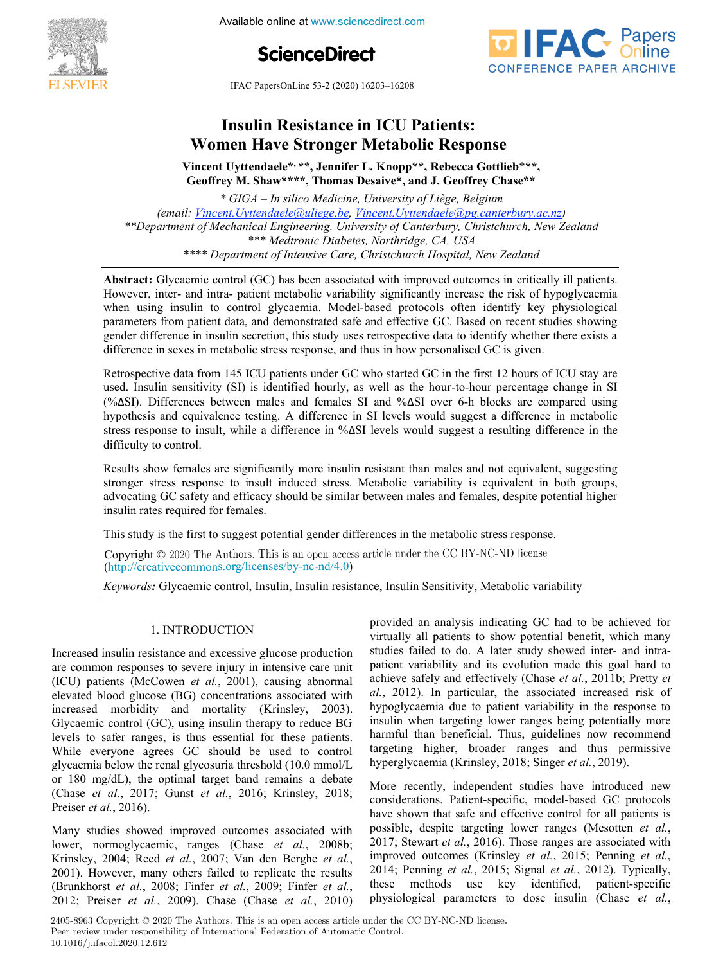

Available online at www.sciencedirect.com





IFAC PapersOnLine 53-2 (2020) 16203-16208 **Insulin Resistance in ICU Patients:**

## **Vincent Uyttendaeler L. Knoppen L. Knoppen L. Knoppen L. Knoppen L. Knoppen L. Knoppen L. Knoppen L. Knoppen L. Women Have Stronger Metabolic Response Insulin Resistance in ICU Patients: WEIGHT HAVE STRONGER STRONGER STRONGER STRONGER STRONGER STRONGER STRONGER**

*\* GIGA – In silico Medicine, University of Liège, Belgium* **Vincent Uyttendaele\*, \*\*, Jennifer L. Knopp\*\*, Rebecca Gottlieb\*\*\*, Geoffrey M. Shaw\*\*\*\*, Thomas Desaive\*, and J. Geoffrey Chase\*\* Geoffrey M. Shaw\*\*\*\*, Thomas Desaive\*, and J. Geoffrey Chase\*\*** Vincent Uyttendaele\*<sup>,\*\*</sup>, Jennifer L. Knopp\*\*, Rebecca Gottlieb\*\*\*,

*(email: Vincent.Uyttendaele@uliege.be, Vincent.Uyttendaele@pg.canterbury.ac.nz)* (email: <u>Vincent.Uyttendaele@uliege.be</u>, <u>Vincent.Uyttendaele@pg.canterbury.ac.nz</u>) <u>rn. Cyttenaueretourtege.be, Ymcent. Cyttenaueretopg.camt</u><br>echanical Engineering, University of Canterbury, Christcl \*\*\* Medtronic Diabetes, Northridge, CA, USA **Geoffrey M. Shaw\*\*\*\*, Thomas Desaive\*, and J. Geoffrey Chase\*\*** *\* GIGA – In silico Medicine, University of Liège, Belgium \*\*Department of Mechanical Engineering, University of Canterbury, Christchurch, New Zealand \*\*Department of Mechanical Engineering, University of Canterbury, Christchurch, New Zealand* \*\*Department of Mechanical Engineering, University of Canterbury, Christchurch, New Zealand<br>\*\*\* Madtusuis Diskates, Newbridge, CA, USA *\*\*\* Medtronic Diabetes, Northridge, CA, USA \*\*\*\* Department of Intensive Care, Christchurch Hospital, New Zealand \*\*\* Medtronic Diabetes, Northridge, CA, USA*

**Abstract:** Glycaemic control (GC) has been associated with improved outcomes in critically ill patients. However, inter- and intra- patient metabolic variability significantly increase the risk of hypoglycaemia when using insulin to control glycaemia. Model-based protocols often identify key physiological parameters from patient data, and demonstrated safe and effective GC. Based on recent studies showing parameters from patient data, and demonstrated safe and effective OC. Based on recent studies showing<br>gender difference in insulin secretion, this study uses retrospective data to identify whether there exists a difference in sexes in metabolic stress response, and thus in how personalised GC is given. *\*\*\* Medtronic Diabetes, Northridge, CA, USA* aemic control (GC) has been associated with improved outcomes in critic parameters from patient data, and demonstrated safe and effective GC. Based on recent studies showing<br>gender difference in insulin secretion, this study uses retrospective data to identify whether there exists a<br>difference gender difference in insulin secretion, this study uses retrospective data to identify whether there exists a difference in sexes in metabolic stress response, and thus in how personalised GC is given.<br>Retrospective data f

Retrospective data from 145 ICU patients under GC who started GC in the first 12 hours of ICU stay are used. Insulin sensitivity (SI) is identified hourly, as well as the hour-to-hour percentage change in SI (%ΔSI). Differences between males and females SI and %ΔSI over 6-h blocks are compared using  $(\sqrt{a}S)$ . Differences between mares and females SI and  $\sqrt{a}S$  over 0-n blocks are compared using hypothesis and equivalence testing. A difference in SI levels would suggest a difference in metabolic hypothesis and equivalence testing. A difference in SI levels would suggest a difference in metabolic<br>stress response to insult, while a difference in % $\Delta$ SI levels would suggest a resulting difference in the  $\delta$  difficulty to control. Retrospective data from 145 ICU patients under GC who started GC in the first 12 hours of ICU stay are used. Insulin sensitivity (SI) is identified hourly, as well as the hour-to-hour percentage change in SI (%ΔSI). Differences between males and females SI and %ΔSI over 6-h blocks are compared using hypothesis and equivale  $\frac{d}{dt}$  and equivalence testing. A difference in  $\frac{d}{dt}$  is  $\frac{d}{dt}$  in  $\frac{d}{dt}$ (%ΔSI). Differences between males and females SI and %ΔSI over 6-h blocks are compared using<br>hypothesis and equivalence testing. A difference in SI levels would suggest a difference in metabolic<br>stress response to insult,

Results show females are significantly more insulin resistant than males and not equivalent, suggesting stronger stress response to insult induced stress. Metabolic variability is equivalent in both groups, advocating GC safety and efficacy should be similar between males and females, despite potential higher insulin rates required for females. hypothesis and equivalence testing. A difference in SI levels would suggest a difference in metabolic Results show females are significantly more insulin resistant than males and not equivalent, suggesting insulin rates required for females.<br>This study is the first to suggest potential gender differences in the metabolic stress response. Results show teman

This study is the first to suggest potential gender differences in the metabolic stress response. in is study is the first to suggest p

Copyright  $\odot$  2020 The Authors. This is an open access article under the CC BY-NC-ND license (http://creativecommons.org/licenses/by-nc-nd/4.0)

 $\rho_{\text{c}}$ , meaning  $\sigma_{\text{c}}$  indicating for an analysis indicately This study is the first to suggest potential gender differences in the metabolic stress response. *Keywords:* Glycaemic control, Insulin, Insulin resistance, Insulin Sensitivity, Metabolic variability Keywords: Glycaemic control, Insulin, Insulin resistance, Insulin Sensitivity, Metabolic variability

#### 1 INTRODHCTION are common responses to severe injury in intensive care unit 1. INTRODUCTION 1. INTRODUCTION Increased insulin resistance and excessive glucose production

1. International and the control of the control of the control of the control of the control of the control of

Increased insulin resistance and excessive glucose production Increased insulin resistance and excessive glucose production<br>are common responses to severe injury in intensive care unit<br>(ICU) patients (McCowen *et al.*, 2001), causing abnormal (ICU) patients (McCowen et al., 2001), causing abnormal elevated blood glucose (BG) concentrations associated with elevated blood glucose (BG) concentrations associated with<br>increased morbidity and mortality (Krinsley, 2003). Glycaemic control  $(GC)$ , using insulin therapy to reduce BG Glycaemic control (GC), using insulin therapy to reduce BG<br>levels to safer ranges, is thus essential for these patients. levels to safer ranges, is thus essential for these patients.<br>While everyone agrees GC should be used to control While everyone agrees GC should be used to control<br>glycaemia below the renal glycosuria threshold  $(10.0 \text{ mmol/L})$ glycaemia below the renal glycosuria threshold (10.0 mmol/L<br>or 180 mg/dL), the optimal target band remains a debate Preiser *et al.*, 2016). lower, normoglycaemic, ranges (Chase *et al.*, 2008b; are common responses to severe injury in intensive care unit<br>(ICU) patients (McCowen *et al.*, 2001), causing abnormal<br>elevated blood glucose (BG) concentrations associated with<br>increased morbidity and mortality (Krinsley, or 180 mg/dL), the optimal target band remains a debate<br>(Chase *et al.*, 2017; Gunst *et al.*, 2016; Krinsley, 2018; Increased insulin resistance and excessive glucose production (ICU) patients (McCowen *et al.*, 2001), causing abnormal elevated blood glucose (BG) concentrations associated with while everyone agrees GC should be used to control Increased insulin resistance and excessive glucose production<br>are common responses to severe injury in intensive care unit<br>(ICU) patients (McCowen *et al.*, 2001), causing abnormal<br>elevated blood glucose (BG) concentration  $M_{\rm H} = 0.005$ 

Many studies showed improved outcomes associated with Many studies showed improved outcomes associated with lower, normoglycaemic, ranges (Chase *et al.*, 2008b; Krinsley, 2004; Reed *et al.*, 2007; Van den Berghe *et al.*, lower, normoglycaemic, ranges (Chase *et al.*, 2008b;<br>Krinsley, 2004; Reed *et al.*, 2007; Van den Berghe *et al.*, 2001). Krinsley, 2004; Reed *et al.*, 2007; Van den Berghe *et al.*, 2001). However, many others failed to replicate the results (Brunkhorst *et al.*, 2008; Finfer *et al.*, 2009; Finfer *et al.*, (Brunkhorst *et al.*, 2008; Finfer *et al.*, 2009; Finfer *et al.*, 2012; Preiser *et al.*, 2009). Chase (Chase *et al.*, 2010) 2012; Preiser *et al.*, 2009). Chase (Chase *et al.*, 2010) Many studies showed improved outcomes associated with Many studies showed improved outcomes associated with provided an analysis indicating GC had to be achieved for virtually all patients to show potential benefit, which many studies failed to do. A later study showed inter- and intrapatient variability and its evolution made this goal hard to patient variability and its evolution made this goal hard to achieve safely and effectively (Chase *et al.*, 2011b; Pretty *et*  $\frac{d}{dx}$  2012) achieve safely and effectively (Chase *et al.*, 2011b; Pretty *et al.*, 2012). In particular, the associated increased risk of hypoglycaemia due to patient variability in the response to hypoglycaemia due to patient variability in the response to<br>insulin when targeting lower ranges being potentially more studies failed to do. A later study showed inter- and intra-<br>patient variability and its evolution made this goal hard to<br>achieve safely and effectively (Chase *et al.*, 2011b; Pretty *et*<br>*al.*, 2012). In particular, the hyperglycaemia (Krinsley, 2018; Singer *et al.*, 2019).  $\epsilon$  protocols (the constructed gcc protocols  $\epsilon$  protocols protocols protocols  $\epsilon$ virtually all patients to show potential benefit, which many<br>studies failed to do. A later study showed inter- and intra-<br>patient variability and its evolution made this goal hard to harmful than beneficial. Thus, guidelines now recommend targeting higher, broader ranges and thus permissive

More recently, independent studies have introduced new considerations. Patient-specific, model-based GC protocols considerations. Fatient-specific, model-based GC protocols<br>have shown that safe and effective control for all patients is possible, despite targeting lower ranges (Mesotten *et al.*, 2015; Penning *et al.*, 2016) possible, despite targeting lower ranges (Mesotten *et al.*, 2017; Stewart *et al.*, 2016). Those ranges are associated with considerations. Patient-specific, model-based GC protocols<br>have shown that safe and effective control for all patients is<br>possible, despite targeting lower ranges (Mesotten *et al.*,<br>2017; Stewart *et al.*, 2016). Those r improved outcomes (Krinsley *et al.*, 2015; Penning *et al.*, 2014; Penning *et al.*, 2015; Signal *et al.*, 2012). Typically, these methods use key identified, patient-specific these methods use key identified, patient-specific<br>physiological parameters to dose insulin (Chase *et al.*, More recently, independent studies have introduced new considerations. Patient-specific, model-based GC protocols have shown that safe and effective control for all patients is More recently, independent studies have introduced new<br>considerations. Patient-specific, model-based GC protocols<br>have shown that safe and effective control for all patients is<br>possible, despite targeting lower ranges (Me physiological parameters to dose insulin (Chase *et al.*, fer *et al.*, these methods use key identified, patient-specific *al.*, 2010) physiological parameters to dose insulin (Chase *et al.*, access article under the CC BY-NC-ND license. physiological parameters to dose insulin (Chase *et al.*,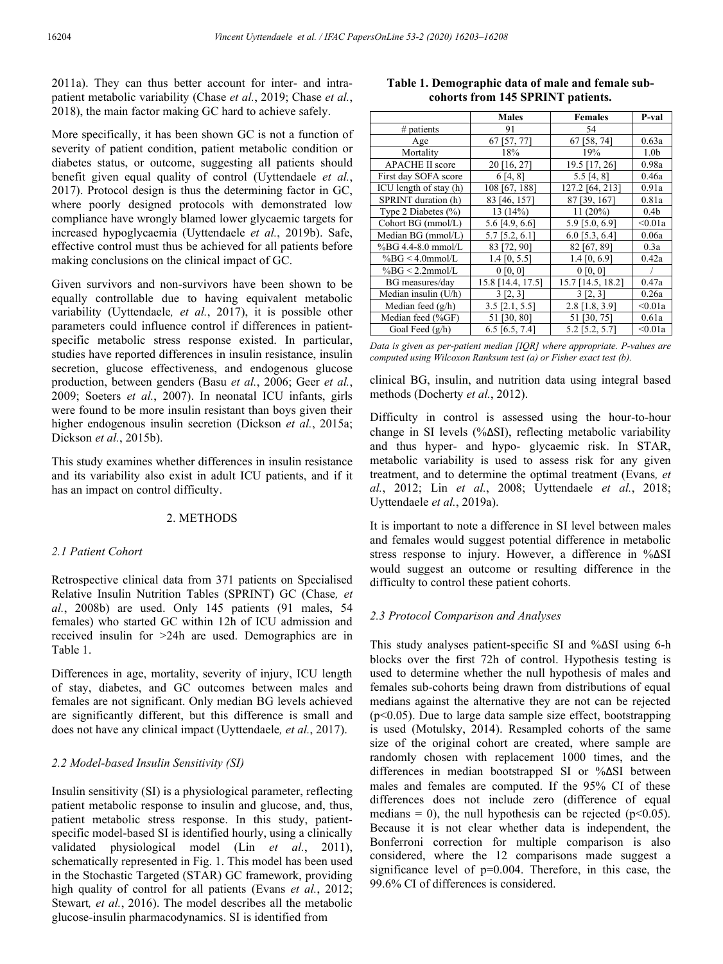2011a). They can thus better account for inter- and intrapatient metabolic variability (Chase *et al.*, 2019; Chase *et al.*, 2018), the main factor making GC hard to achieve safely.

More specifically, it has been shown GC is not a function of severity of patient condition, patient metabolic condition or diabetes status, or outcome, suggesting all patients should benefit given equal quality of control (Uyttendaele *et al.*, 2017). Protocol design is thus the determining factor in GC, where poorly designed protocols with demonstrated low compliance have wrongly blamed lower glycaemic targets for increased hypoglycaemia (Uyttendaele *et al.*, 2019b). Safe, effective control must thus be achieved for all patients before making conclusions on the clinical impact of GC.

Given survivors and non-survivors have been shown to be equally controllable due to having equivalent metabolic variability (Uyttendaele*, et al.*, 2017), it is possible other parameters could influence control if differences in patientspecific metabolic stress response existed. In particular, studies have reported differences in insulin resistance, insulin secretion, glucose effectiveness, and endogenous glucose production, between genders (Basu *et al.*, 2006; Geer *et al.*, 2009; Soeters *et al.*, 2007). In neonatal ICU infants, girls were found to be more insulin resistant than boys given their higher endogenous insulin secretion (Dickson *et al.*, 2015a; Dickson *et al.*, 2015b).

This study examines whether differences in insulin resistance and its variability also exist in adult ICU patients, and if it has an impact on control difficulty.

# 2. METHODS

#### *2.1 Patient Cohort*

Retrospective clinical data from 371 patients on Specialised Relative Insulin Nutrition Tables (SPRINT) GC (Chase*, et al.*, 2008b) are used. Only 145 patients (91 males, 54 females) who started GC within 12h of ICU admission and received insulin for >24h are used. Demographics are in Table 1.

Differences in age, mortality, severity of injury, ICU length of stay, diabetes, and GC outcomes between males and females are not significant. Only median BG levels achieved are significantly different, but this difference is small and does not have any clinical impact (Uyttendaele*, et al.*, 2017).

# *2.2 Model-based Insulin Sensitivity (SI)*

Insulin sensitivity (SI) is a physiological parameter, reflecting patient metabolic response to insulin and glucose, and, thus, patient metabolic stress response. In this study, patientspecific model-based SI is identified hourly, using a clinically validated physiological model (Lin *et al.*, 2011), schematically represented in Fig. 1. This model has been used in the Stochastic Targeted (STAR) GC framework, providing high quality of control for all patients (Evans *et al.*, 2012; Stewart*, et al.*, 2016). The model describes all the metabolic glucose-insulin pharmacodynamics. SI is identified from

# **Table 1. Demographic data of male and female subcohorts from 145 SPRINT patients.**

|                         | <b>Males</b>      | <b>Females</b>    | P-val            |
|-------------------------|-------------------|-------------------|------------------|
| $#$ patients            | 91                | 54                |                  |
| Age                     | 67 [57, 77]       | 67 [58, 74]       | 0.63a            |
| Mortality               | 18%               | 19%               | 1.0 <sub>b</sub> |
| <b>APACHE II score</b>  | 20 [16, 27]       | 19.5 [17, 26]     | 0.98a            |
| First day SOFA score    | 6[4, 8]           | 5.5 [4, 8]        | 0.46a            |
| ICU length of stay (h)  | 108 [67, 188]     | 127.2 [64, 213]   | 0.91a            |
| SPRINT duration (h)     | 83 [46, 157]      | 87 [39, 167]      | 0.81a            |
| Type 2 Diabetes $(\% )$ | 13 (14%)          | 11 $(20\%)$       | 0.4 <sub>b</sub> |
| Cohort BG (mmol/L)      | 5.6 [4.9, 6.6]    | 5.9 [5.0, 6.9]    | < 0.01a          |
| Median BG (mmol/L)      | $5.7$ [5.2, 6.1]  | $6.0$ [5.3, 6.4]  | 0.06a            |
| $%BG 4.4-8.0$ mmol/L    | 83 [72, 90]       | 82 [67, 89]       | 0.3a             |
| $%BG < 4.0$ mmol/L      | $1.4$ [0, 5.5]    | $1.4\ [0, 6.9]$   | 0.42a            |
| $%BG < 2.2$ mmol/L      | 0 [0, 0]          | 0 [0, 0]          |                  |
| BG measures/day         | 15.8 [14.4, 17.5] | 15.7 [14.5, 18.2] | 0.47a            |
| Median insulin (U/h)    | $3$ [2, 3]        | $3$ [2, 3]        | 0.26a            |
| Median feed $(g/h)$     | $3.5$ [2.1, 5.5]  | $2.8$ [1.8, 3.9]  | < 0.01a          |
| Median feed (%GF)       | 51 [30, 80]       | 51 [30, 75]       | 0.61a            |
| Goal Feed $(g/h)$       | $6.5$ [6.5, 7.4]  | $5.2$ [5.2, 5.7]  | < 0.01a          |

*Data is given as per-patient median [IQR] where appropriate. P-values are computed using Wilcoxon Ranksum test (a) or Fisher exact test (b).*

clinical BG, insulin, and nutrition data using integral based methods (Docherty *et al.*, 2012).

Difficulty in control is assessed using the hour-to-hour change in SI levels (%ΔSI), reflecting metabolic variability and thus hyper- and hypo- glycaemic risk. In STAR, metabolic variability is used to assess risk for any given treatment, and to determine the optimal treatment (Evans*, et al.*, 2012; Lin *et al.*, 2008; Uyttendaele *et al.*, 2018; Uyttendaele *et al.*, 2019a).

It is important to note a difference in SI level between males and females would suggest potential difference in metabolic stress response to injury. However, a difference in %ΔSI would suggest an outcome or resulting difference in the difficulty to control these patient cohorts.

#### *2.3 Protocol Comparison and Analyses*

This study analyses patient-specific SI and %ΔSI using 6-h blocks over the first 72h of control. Hypothesis testing is used to determine whether the null hypothesis of males and females sub-cohorts being drawn from distributions of equal medians against the alternative they are not can be rejected (p<0.05). Due to large data sample size effect, bootstrapping is used (Motulsky, 2014). Resampled cohorts of the same size of the original cohort are created, where sample are randomly chosen with replacement 1000 times, and the differences in median bootstrapped SI or %ΔSI between males and females are computed. If the 95% CI of these differences does not include zero (difference of equal medians = 0), the null hypothesis can be rejected ( $p$ <0.05). Because it is not clear whether data is independent, the Bonferroni correction for multiple comparison is also considered, where the 12 comparisons made suggest a significance level of p=0.004. Therefore, in this case, the 99.6% CI of differences is considered.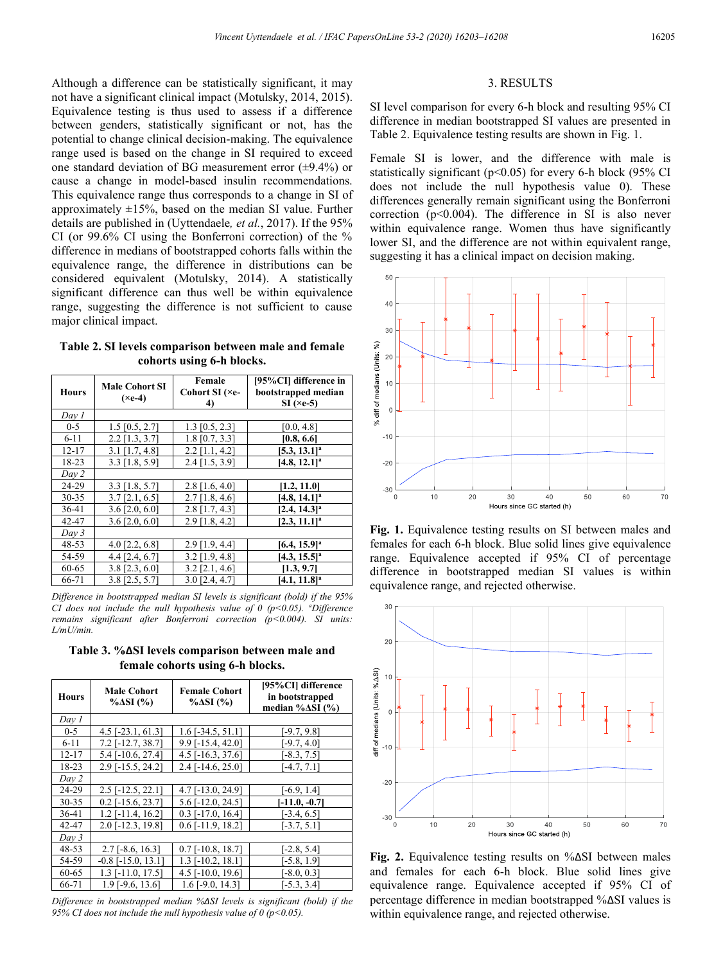Although a difference can be statistically significant, it may not have a significant clinical impact (Motulsky, 2014, 2015). Equivalence testing is thus used to assess if a difference between genders, statistically significant or not, has the potential to change clinical decision-making. The equivalence range used is based on the change in SI required to exceed one standard deviation of BG measurement error  $(\pm 9.4\%)$  or cause a change in model-based insulin recommendations. This equivalence range thus corresponds to a change in SI of approximately  $\pm 15\%$ , based on the median SI value. Further details are published in (Uyttendaele*, et al.*, 2017). If the 95% CI (or 99.6% CI using the Bonferroni correction) of the % difference in medians of bootstrapped cohorts falls within the equivalence range, the difference in distributions can be considered equivalent (Motulsky, 2014). A statistically significant difference can thus well be within equivalence range, suggesting the difference is not sufficient to cause major clinical impact.

**Table 2. SI levels comparison between male and female cohorts using 6-h blocks.**

| <b>Hours</b> | <b>Male Cohort SI</b><br>$(\times e-4)$ | Female<br>Cohort SI (×e-<br>4) | [95%CI] difference in<br>bootstrapped median<br>$SI$ ( $\times$ e-5) |
|--------------|-----------------------------------------|--------------------------------|----------------------------------------------------------------------|
| Day 1        |                                         |                                |                                                                      |
| $0 - 5$      | $1.5$ [0.5, 2.7]                        | $1.3$ [0.5, 2.3]               | [0.0, 4.8]                                                           |
| $6 - 11$     | $2.2$ [1.3, 3.7]                        | $1.8$ [0.7, 3.3]               | [0.8, 6.6]                                                           |
| $12 - 17$    | $3.1$ [1.7, 4.8]                        | $2.2$ [1.1, 4.2]               | $[5.3, 13.1]^a$                                                      |
| 18-23        | $3.3$ [1.8, 5.9]                        | 2.4 [1.5, 3.9]                 | $[4.8, 12.1]$ <sup>a</sup>                                           |
| Day 2        |                                         |                                |                                                                      |
| 24-29        | $3.3$ [1.8, 5.7]                        | $2.8$ [1.6, 4.0]               | [1.2, 11.0]                                                          |
| $30 - 35$    | $3.7$ [2.1, 6.5]                        | $2.7$ [1.8, 4.6]               | $[4.8, 14.1]^a$                                                      |
| 36-41        | $3.6$ [2.0, 6.0]                        | $2.8$ [1.7, 4.3]               | $[2.4, 14.3]$ <sup>a</sup>                                           |
| 42-47        | $3.6$ [2.0, 6.0]                        | $2.9$ [1.8, 4.2]               | $[2.3, 11.1]^a$                                                      |
| Day 3        |                                         |                                |                                                                      |
| 48-53        | 4.0 $[2.2, 6.8]$                        | $2.9$ [1.9, 4.4]               | $[6.4, 15.9]^a$                                                      |
| 54-59        | 4.4 [2.4, 6.7]                          | $3.2$ [1.9, 4.8]               | $[4.3, 15.5]^a$                                                      |
| 60-65        | $3.8$ [2.3, 6.0]                        | $3.2$ [2.1, 4.6]               | [1.3, 9.7]                                                           |
| 66-71        | $3.8$ [2.5, 5.7]                        | $3.0$ [2.4, 4.7]               | $[4.1, 11.8]$ <sup>a</sup>                                           |

*Difference in bootstrapped median SI levels is significant (bold) if the 95% CI does not include the null hypothesis value of 0 (p<0.05). a Difference remains significant after Bonferroni correction (p<0.004). SI units: L/mU/min.*

**Table 3. %ΔSI levels comparison between male and female cohorts using 6-h blocks.**

| <b>Hours</b> | <b>Male Cohort</b><br>$\%$ $\Delta SI$ (%) | <b>Female Cohort</b><br>$\% \Delta SI \ (\%)$ | [95%CI] difference<br>in bootstrapped<br>median % $\Delta SI$ (%) |
|--------------|--------------------------------------------|-----------------------------------------------|-------------------------------------------------------------------|
| Day 1        |                                            |                                               |                                                                   |
| $0 - 5$      | $4.5$ [ $-23.1$ , 61.3]                    | $1.6$ [-34.5, 51.1]                           | $[-9.7, 9.8]$                                                     |
| $6 - 11$     | $7.2$ [-12.7, 38.7]                        | 9.9 [-15.4, 42.0]                             | $[-9.7, 4.0]$                                                     |
| $12 - 17$    | 5.4 [-10.6, 27.4]                          | $4.5$ [-16.3, 37.6]                           | $[-8.3, 7.5]$                                                     |
| 18-23        | 2.9 [-15.5, 24.2]                          | $2.4$ [-14.6, 25.0]                           | $-4.7, 7.1$ ]                                                     |
| Day 2        |                                            |                                               |                                                                   |
| 24-29        | $2.5$ [ $-12.5$ , $22.1$ ]                 | 4.7 [-13.0, 24.9]                             | $-6.9, 1.4$ ]                                                     |
| 30-35        | $0.2$ [-15.6, 23.7]                        | 5.6 [-12.0, 24.5]                             | $[-11.0, -0.7]$                                                   |
| 36-41        | $1.2$ [-11.4, 16.2]                        | $0.3$ [-17.0, 16.4]                           | $-3.4, 6.5$ ]                                                     |
| 42-47        | 2.0 [-12.3, 19.8]                          | $0.6$ [-11.9, 18.2]                           | $[-3.7, 5.1]$                                                     |
| Day 3        |                                            |                                               |                                                                   |
| 48-53        | $2.7$ [-8.6, 16.3]                         | $0.7$ [-10.8, 18.7]                           | $[-2.8, 5.4]$                                                     |
| 54-59        | $-0.8$ [ $-15.0$ , 13.1]                   | $1.3$ [-10.2, 18.1]                           | $[-5.8, 1.9]$                                                     |
| 60-65        | $1.3$ [-11.0, 17.5]                        | $4.5$ [ $-10.0$ , $19.6$ ]                    | $[-8.0, 0.3]$                                                     |
| 66-71        | $1.9$ [-9.6, 13.6]                         | $1.6$ [-9.0, 14.3]                            | $[-5.3, 3.4]$                                                     |

*Difference in bootstrapped median %ΔSI levels is significant (bold) if the 95% CI does not include the null hypothesis value of 0 (p<0.05).*

#### 3. RESULTS

SI level comparison for every 6-h block and resulting 95% CI difference in median bootstrapped SI values are presented in Table 2. Equivalence testing results are shown in Fig. 1.

Female SI is lower, and the difference with male is statistically significant ( $p<0.05$ ) for every 6-h block (95% CI does not include the null hypothesis value 0). These differences generally remain significant using the Bonferroni correction  $(p<0.004)$ . The difference in SI is also never within equivalence range. Women thus have significantly lower SI, and the difference are not within equivalent range, suggesting it has a clinical impact on decision making.



**Fig. 1.** Equivalence testing results on SI between males and females for each 6-h block. Blue solid lines give equivalence range. Equivalence accepted if 95% CI of percentage difference in bootstrapped median SI values is within equivalence range, and rejected otherwise.



**Fig. 2.** Equivalence testing results on %ΔSI between males and females for each 6-h block. Blue solid lines give equivalence range. Equivalence accepted if 95% CI of percentage difference in median bootstrapped %ΔSI values is within equivalence range, and rejected otherwise.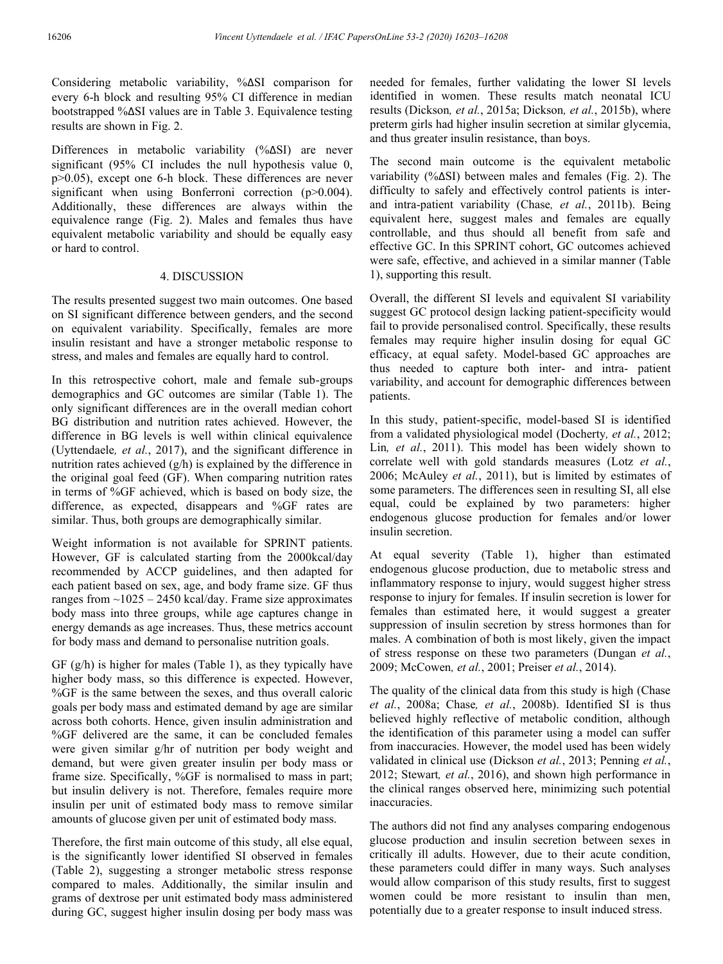Considering metabolic variability, %ΔSI comparison for every 6-h block and resulting 95% CI difference in median bootstrapped %ΔSI values are in Table 3. Equivalence testing results are shown in Fig. 2.

Differences in metabolic variability (%ΔSI) are never significant (95% CI includes the null hypothesis value 0, p>0.05), except one 6-h block. These differences are never significant when using Bonferroni correction (p>0.004). Additionally, these differences are always within the equivalence range (Fig. 2). Males and females thus have equivalent metabolic variability and should be equally easy or hard to control.

### 4. DISCUSSION

The results presented suggest two main outcomes. One based on SI significant difference between genders, and the second on equivalent variability. Specifically, females are more insulin resistant and have a stronger metabolic response to stress, and males and females are equally hard to control.

In this retrospective cohort, male and female sub-groups demographics and GC outcomes are similar (Table 1). The only significant differences are in the overall median cohort BG distribution and nutrition rates achieved. However, the difference in BG levels is well within clinical equivalence (Uyttendaele*, et al.*, 2017), and the significant difference in nutrition rates achieved (g/h) is explained by the difference in the original goal feed (GF). When comparing nutrition rates in terms of %GF achieved, which is based on body size, the difference, as expected, disappears and %GF rates are similar. Thus, both groups are demographically similar.

Weight information is not available for SPRINT patients. However, GF is calculated starting from the 2000kcal/day recommended by ACCP guidelines, and then adapted for each patient based on sex, age, and body frame size. GF thus ranges from  $\sim$ 1025 – 2450 kcal/day. Frame size approximates body mass into three groups, while age captures change in energy demands as age increases. Thus, these metrics account for body mass and demand to personalise nutrition goals.

GF (g/h) is higher for males (Table 1), as they typically have higher body mass, so this difference is expected. However, %GF is the same between the sexes, and thus overall caloric goals per body mass and estimated demand by age are similar across both cohorts. Hence, given insulin administration and %GF delivered are the same, it can be concluded females were given similar g/hr of nutrition per body weight and demand, but were given greater insulin per body mass or frame size. Specifically, %GF is normalised to mass in part; but insulin delivery is not. Therefore, females require more insulin per unit of estimated body mass to remove similar amounts of glucose given per unit of estimated body mass.

Therefore, the first main outcome of this study, all else equal, is the significantly lower identified SI observed in females (Table 2), suggesting a stronger metabolic stress response compared to males. Additionally, the similar insulin and grams of dextrose per unit estimated body mass administered during GC, suggest higher insulin dosing per body mass was needed for females, further validating the lower SI levels identified in women. These results match neonatal ICU results (Dickson*, et al.*, 2015a; Dickson*, et al.*, 2015b), where preterm girls had higher insulin secretion at similar glycemia, and thus greater insulin resistance, than boys.

The second main outcome is the equivalent metabolic variability (%ΔSI) between males and females (Fig. 2). The difficulty to safely and effectively control patients is interand intra-patient variability (Chase*, et al.*, 2011b). Being equivalent here, suggest males and females are equally controllable, and thus should all benefit from safe and effective GC. In this SPRINT cohort, GC outcomes achieved were safe, effective, and achieved in a similar manner (Table 1), supporting this result.

Overall, the different SI levels and equivalent SI variability suggest GC protocol design lacking patient-specificity would fail to provide personalised control. Specifically, these results females may require higher insulin dosing for equal GC efficacy, at equal safety. Model-based GC approaches are thus needed to capture both inter- and intra- patient variability, and account for demographic differences between patients.

In this study, patient-specific, model-based SI is identified from a validated physiological model (Docherty*, et al.*, 2012; Lin*, et al.*, 2011). This model has been widely shown to correlate well with gold standards measures (Lotz *et al.*, 2006; McAuley *et al.*, 2011), but is limited by estimates of some parameters. The differences seen in resulting SI, all else equal, could be explained by two parameters: higher endogenous glucose production for females and/or lower insulin secretion.

At equal severity (Table 1), higher than estimated endogenous glucose production, due to metabolic stress and inflammatory response to injury, would suggest higher stress response to injury for females. If insulin secretion is lower for females than estimated here, it would suggest a greater suppression of insulin secretion by stress hormones than for males. A combination of both is most likely, given the impact of stress response on these two parameters (Dungan *et al.*, 2009; McCowen*, et al.*, 2001; Preiser *et al.*, 2014).

The quality of the clinical data from this study is high (Chase *et al.*, 2008a; Chase*, et al.*, 2008b). Identified SI is thus believed highly reflective of metabolic condition, although the identification of this parameter using a model can suffer from inaccuracies. However, the model used has been widely validated in clinical use (Dickson *et al.*, 2013; Penning *et al.*, 2012; Stewart*, et al.*, 2016), and shown high performance in the clinical ranges observed here, minimizing such potential inaccuracies.

The authors did not find any analyses comparing endogenous glucose production and insulin secretion between sexes in critically ill adults. However, due to their acute condition, these parameters could differ in many ways. Such analyses would allow comparison of this study results, first to suggest women could be more resistant to insulin than men, potentially due to a greater response to insult induced stress.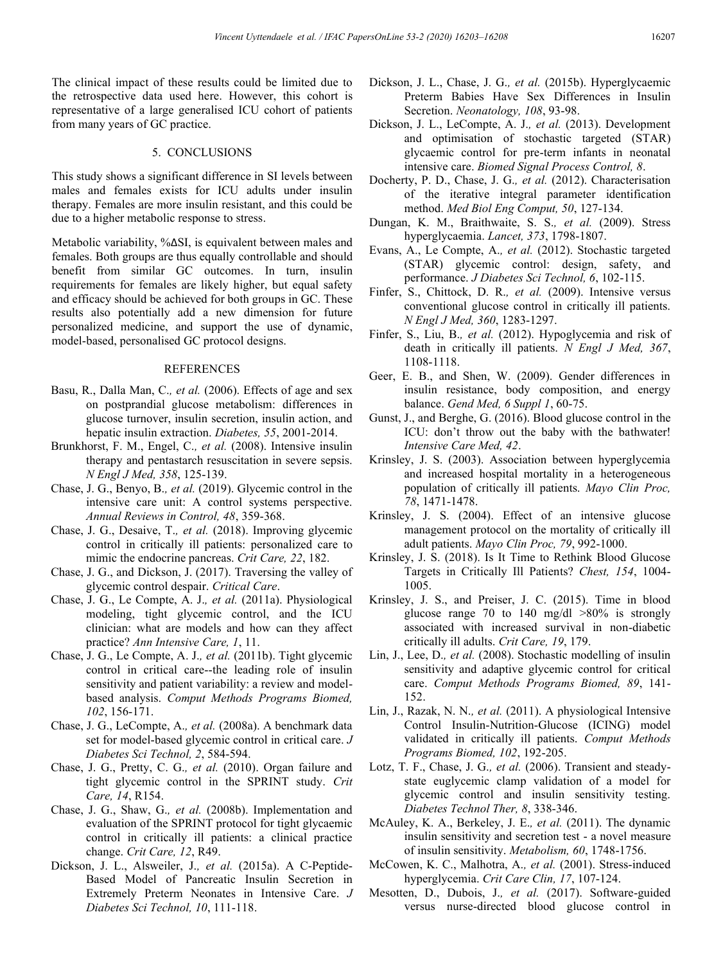The clinical impact of these results could be limited due to the retrospective data used here. However, this cohort is representative of a large generalised ICU cohort of patients from many years of GC practice.

# 5. CONCLUSIONS

This study shows a significant difference in SI levels between males and females exists for ICU adults under insulin therapy. Females are more insulin resistant, and this could be due to a higher metabolic response to stress.

Metabolic variability, %ΔSI, is equivalent between males and females. Both groups are thus equally controllable and should benefit from similar GC outcomes. In turn, insulin requirements for females are likely higher, but equal safety and efficacy should be achieved for both groups in GC. These results also potentially add a new dimension for future personalized medicine, and support the use of dynamic, model-based, personalised GC protocol designs.

### REFERENCES

- Basu, R., Dalla Man, C.*, et al.* (2006). Effects of age and sex on postprandial glucose metabolism: differences in glucose turnover, insulin secretion, insulin action, and hepatic insulin extraction. *Diabetes, 55*, 2001-2014.
- Brunkhorst, F. M., Engel, C.*, et al.* (2008). Intensive insulin therapy and pentastarch resuscitation in severe sepsis. *N Engl J Med, 358*, 125-139.
- Chase, J. G., Benyo, B.*, et al.* (2019). Glycemic control in the intensive care unit: A control systems perspective. *Annual Reviews in Control, 48*, 359-368.
- Chase, J. G., Desaive, T.*, et al.* (2018). Improving glycemic control in critically ill patients: personalized care to mimic the endocrine pancreas. *Crit Care, 22*, 182.
- Chase, J. G., and Dickson, J. (2017). Traversing the valley of glycemic control despair. *Critical Care*.
- Chase, J. G., Le Compte, A. J.*, et al.* (2011a). Physiological modeling, tight glycemic control, and the ICU clinician: what are models and how can they affect practice? *Ann Intensive Care, 1*, 11.
- Chase, J. G., Le Compte, A. J.*, et al.* (2011b). Tight glycemic control in critical care--the leading role of insulin sensitivity and patient variability: a review and modelbased analysis. *Comput Methods Programs Biomed, 102*, 156-171.
- Chase, J. G., LeCompte, A.*, et al.* (2008a). A benchmark data set for model-based glycemic control in critical care. *J Diabetes Sci Technol, 2*, 584-594.
- Chase, J. G., Pretty, C. G.*, et al.* (2010). Organ failure and tight glycemic control in the SPRINT study. *Crit Care, 14*, R154.
- Chase, J. G., Shaw, G.*, et al.* (2008b). Implementation and evaluation of the SPRINT protocol for tight glycaemic control in critically ill patients: a clinical practice change. *Crit Care, 12*, R49.
- Dickson, J. L., Alsweiler, J.*, et al.* (2015a). A C-Peptide-Based Model of Pancreatic Insulin Secretion in Extremely Preterm Neonates in Intensive Care. *J Diabetes Sci Technol, 10*, 111-118.
- Dickson, J. L., Chase, J. G.*, et al.* (2015b). Hyperglycaemic Preterm Babies Have Sex Differences in Insulin Secretion. *Neonatology, 108*, 93-98.
- Dickson, J. L., LeCompte, A. J.*, et al.* (2013). Development and optimisation of stochastic targeted (STAR) glycaemic control for pre-term infants in neonatal intensive care. *Biomed Signal Process Control, 8*.
- Docherty, P. D., Chase, J. G.*, et al.* (2012). Characterisation of the iterative integral parameter identification method. *Med Biol Eng Comput, 50*, 127-134.
- Dungan, K. M., Braithwaite, S. S.*, et al.* (2009). Stress hyperglycaemia. *Lancet, 373*, 1798-1807.
- Evans, A., Le Compte, A.*, et al.* (2012). Stochastic targeted (STAR) glycemic control: design, safety, and performance. *J Diabetes Sci Technol, 6*, 102-115.
- Finfer, S., Chittock, D. R.*, et al.* (2009). Intensive versus conventional glucose control in critically ill patients. *N Engl J Med, 360*, 1283-1297.
- Finfer, S., Liu, B.*, et al.* (2012). Hypoglycemia and risk of death in critically ill patients. *N Engl J Med, 367*, 1108-1118.
- Geer, E. B., and Shen, W. (2009). Gender differences in insulin resistance, body composition, and energy balance. *Gend Med, 6 Suppl 1*, 60-75.
- Gunst, J., and Berghe, G. (2016). Blood glucose control in the ICU: don't throw out the baby with the bathwater! *Intensive Care Med, 42*.
- Krinsley, J. S. (2003). Association between hyperglycemia and increased hospital mortality in a heterogeneous population of critically ill patients. *Mayo Clin Proc, 78*, 1471-1478.
- Krinsley, J. S. (2004). Effect of an intensive glucose management protocol on the mortality of critically ill adult patients. *Mayo Clin Proc, 79*, 992-1000.
- Krinsley, J. S. (2018). Is It Time to Rethink Blood Glucose Targets in Critically Ill Patients? *Chest, 154*, 1004- 1005.
- Krinsley, J. S., and Preiser, J. C. (2015). Time in blood glucose range 70 to 140 mg/dl  $>80\%$  is strongly associated with increased survival in non-diabetic critically ill adults. *Crit Care, 19*, 179.
- Lin, J., Lee, D.*, et al.* (2008). Stochastic modelling of insulin sensitivity and adaptive glycemic control for critical care. *Comput Methods Programs Biomed, 89*, 141- 152.
- Lin, J., Razak, N. N.*, et al.* (2011). A physiological Intensive Control Insulin-Nutrition-Glucose (ICING) model validated in critically ill patients. *Comput Methods Programs Biomed, 102*, 192-205.
- Lotz, T. F., Chase, J. G.*, et al.* (2006). Transient and steadystate euglycemic clamp validation of a model for glycemic control and insulin sensitivity testing. *Diabetes Technol Ther, 8*, 338-346.
- McAuley, K. A., Berkeley, J. E.*, et al.* (2011). The dynamic insulin sensitivity and secretion test - a novel measure of insulin sensitivity. *Metabolism, 60*, 1748-1756.
- McCowen, K. C., Malhotra, A.*, et al.* (2001). Stress-induced hyperglycemia. *Crit Care Clin, 17*, 107-124.
- Mesotten, D., Dubois, J.*, et al.* (2017). Software-guided versus nurse-directed blood glucose control in